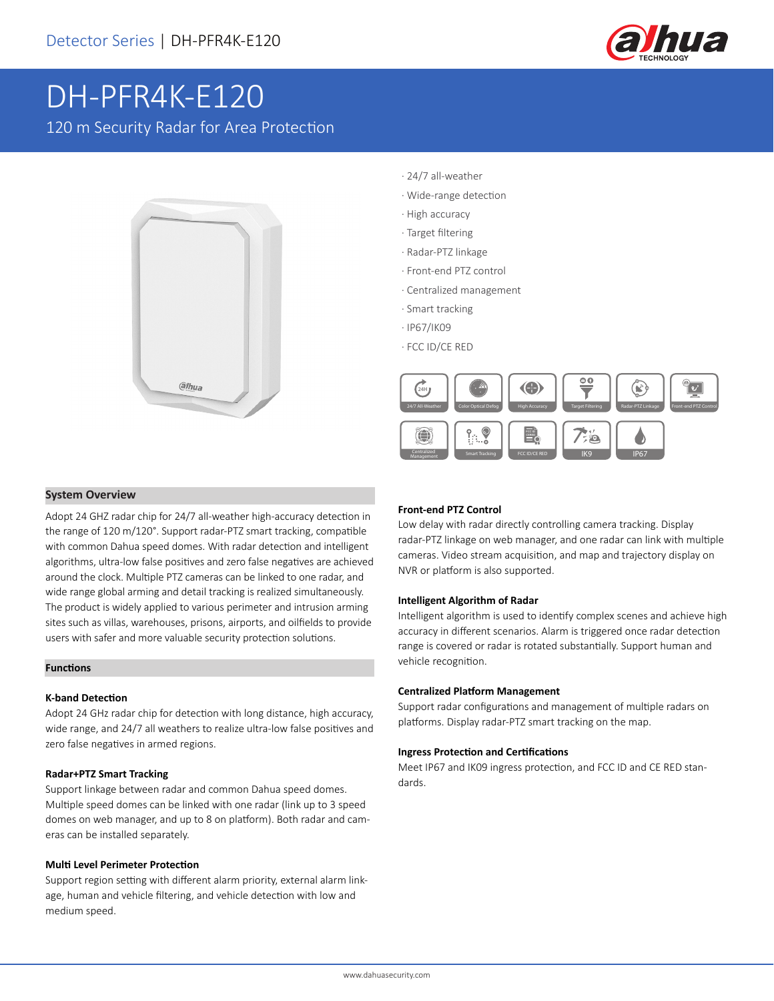

# DH-PFR4K-E120

120 m Security Radar for Area Protection



- · 24/7 all-weather
- · Wide-range detection
- · High accuracy
- · Target filtering
- · Radar-PTZ linkage
- · Front-end PTZ control
- · Centralized management
- · Smart tracking
- · IP67/IK09
- · FCC ID/CE RED



#### **System Overview**

Adopt 24 GHZ radar chip for 24/7 all-weather high-accuracy detection in the range of 120 m/120°. Support radar-PTZ smart tracking, compatible with common Dahua speed domes. With radar detection and intelligent algorithms, ultra-low false positives and zero false negatives are achieved around the clock. Multiple PTZ cameras can be linked to one radar, and wide range global arming and detail tracking is realized simultaneously. The product is widely applied to various perimeter and intrusion arming sites such as villas, warehouses, prisons, airports, and oilfields to provide users with safer and more valuable security protection solutions.

#### **Functions**

#### **K-band Detection**

Adopt 24 GHz radar chip for detection with long distance, high accuracy, wide range, and 24/7 all weathers to realize ultra-low false positives and zero false negatives in armed regions.

#### **Radar+PTZ Smart Tracking**

Support linkage between radar and common Dahua speed domes. Multiple speed domes can be linked with one radar (link up to 3 speed domes on web manager, and up to 8 on platform). Both radar and cameras can be installed separately.

#### **Multi Level Perimeter Protection**

Support region setting with different alarm priority, external alarm linkage, human and vehicle filtering, and vehicle detection with low and medium speed.

#### **Front-end PTZ Control**

Low delay with radar directly controlling camera tracking. Display radar-PTZ linkage on web manager, and one radar can link with multiple cameras. Video stream acquisition, and map and trajectory display on NVR or platform is also supported.

#### **Intelligent Algorithm of Radar**

Intelligent algorithm is used to identify complex scenes and achieve high accuracy in different scenarios. Alarm is triggered once radar detection range is covered or radar is rotated substantially. Support human and vehicle recognition.

#### **Centralized Platform Management**

Support radar configurations and management of multiple radars on platforms. Display radar-PTZ smart tracking on the map.

#### **Ingress Protection and Certifications**

Meet IP67 and IK09 ingress protection, and FCC ID and CE RED standards.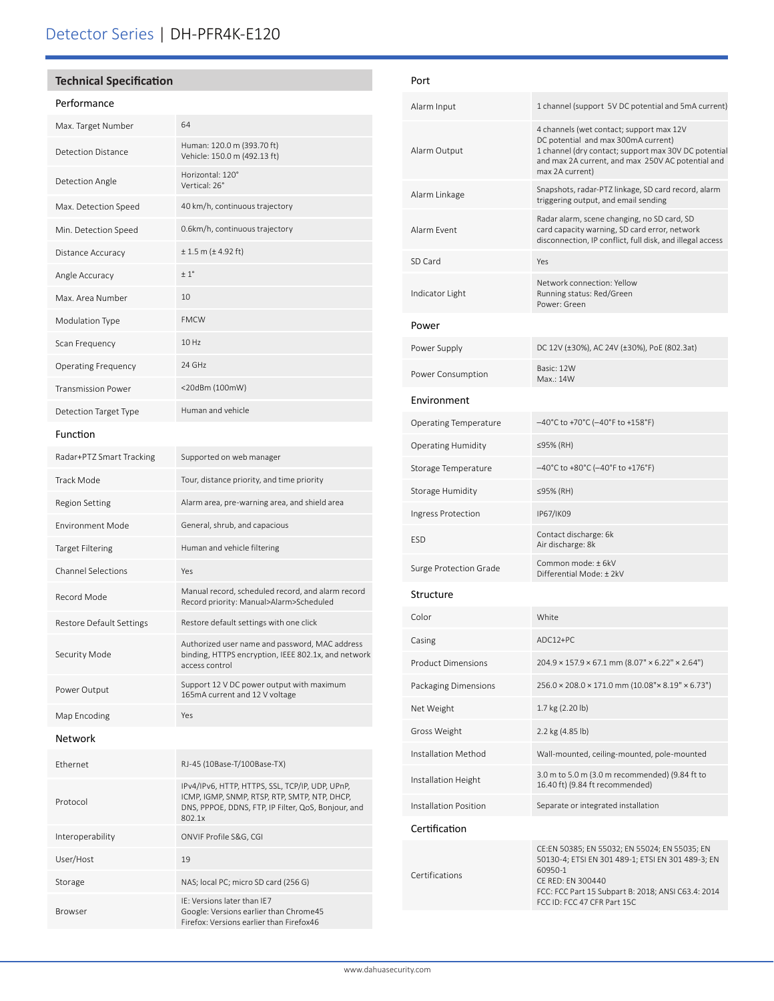## Detector Series | DH-PFR4K-E120

#### **Technical Specification**

#### Performance

| Max. Target Number           | 64                                                                                                                                                                |  |
|------------------------------|-------------------------------------------------------------------------------------------------------------------------------------------------------------------|--|
| Detection Distance           | Human: 120.0 m (393.70 ft)<br>Vehicle: 150.0 m (492.13 ft)                                                                                                        |  |
| Detection Angle              | Horizontal: 120°<br>Vertical: 26°                                                                                                                                 |  |
| Max. Detection Speed         | 40 km/h, continuous trajectory                                                                                                                                    |  |
| Min. Detection Speed         | 0.6km/h, continuous trajectory                                                                                                                                    |  |
| Distance Accuracy            | $± 1.5$ m ( $± 4.92$ ft)                                                                                                                                          |  |
| Angle Accuracy               | $+1^{\circ}$                                                                                                                                                      |  |
| Max. Area Number             | 10                                                                                                                                                                |  |
| Modulation Type              | <b>FMCW</b>                                                                                                                                                       |  |
| Scan Frequency               | 10 Hz                                                                                                                                                             |  |
| <b>Operating Frequency</b>   | 24 GHz                                                                                                                                                            |  |
| <b>Transmission Power</b>    | <20dBm (100mW)                                                                                                                                                    |  |
| <b>Detection Target Type</b> | Human and vehicle                                                                                                                                                 |  |
| Function                     |                                                                                                                                                                   |  |
| Radar+PTZ Smart Tracking     | Supported on web manager                                                                                                                                          |  |
| <b>Track Mode</b>            | Tour, distance priority, and time priority                                                                                                                        |  |
| <b>Region Setting</b>        | Alarm area, pre-warning area, and shield area                                                                                                                     |  |
| <b>Environment Mode</b>      | General, shrub, and capacious                                                                                                                                     |  |
| <b>Target Filtering</b>      | Human and vehicle filtering                                                                                                                                       |  |
| <b>Channel Selections</b>    | Yes                                                                                                                                                               |  |
| Record Mode                  | Manual record, scheduled record, and alarm record<br>Record priority: Manual>Alarm>Scheduled                                                                      |  |
| Restore Default Settings     | Restore default settings with one click                                                                                                                           |  |
| Security Mode                | Authorized user name and password, MAC address<br>binding, HTTPS encryption, IEEE 802.1x, and network<br>access control                                           |  |
| Power Output                 | Support 12 V DC power output with maximum<br>165mA current and 12 V voltage                                                                                       |  |
| Map Encoding                 | Yes                                                                                                                                                               |  |
| <b>Network</b>               |                                                                                                                                                                   |  |
| Ethernet                     | RJ-45 (10Base-T/100Base-TX)                                                                                                                                       |  |
| Protocol                     | IPv4/IPv6, HTTP, HTTPS, SSL, TCP/IP, UDP, UPnP,<br>ICMP, IGMP, SNMP, RTSP, RTP, SMTP, NTP, DHCP,<br>DNS, PPPOE, DDNS, FTP, IP Filter, QoS, Bonjour, and<br>802.1x |  |
| Interoperability             | ONVIF Profile S&G, CGI                                                                                                                                            |  |
| User/Host                    | 19                                                                                                                                                                |  |
| Storage                      | NAS; local PC; micro SD card (256 G)                                                                                                                              |  |
| Browser                      | IE: Versions later than IE7<br>Google: Versions earlier than Chrome45<br>Firefox: Versions earlier than Firefox46                                                 |  |

| Port                         |                                                                                                                                                                                                                         |  |
|------------------------------|-------------------------------------------------------------------------------------------------------------------------------------------------------------------------------------------------------------------------|--|
| Alarm Input                  | 1 channel (support 5V DC potential and 5mA current)                                                                                                                                                                     |  |
| Alarm Output                 | 4 channels (wet contact; support max 12V<br>DC potential and max 300mA current)<br>1 channel (dry contact; support max 30V DC potential<br>and max 2A current, and max 250V AC potential and<br>max 2A current)         |  |
| Alarm Linkage                | Snapshots, radar-PTZ linkage, SD card record, alarm<br>triggering output, and email sending                                                                                                                             |  |
| Alarm Fvent                  | Radar alarm, scene changing, no SD card, SD<br>card capacity warning, SD card error, network<br>disconnection, IP conflict, full disk, and illegal access                                                               |  |
| SD Card                      | Yes                                                                                                                                                                                                                     |  |
| Indicator Light              | Network connection: Yellow<br>Running status: Red/Green<br>Power: Green                                                                                                                                                 |  |
| Power                        |                                                                                                                                                                                                                         |  |
| Power Supply                 | DC 12V (±30%), AC 24V (±30%), PoE (802.3at)                                                                                                                                                                             |  |
| Power Consumption            | Basic: 12W<br>Max.: 14W                                                                                                                                                                                                 |  |
| Environment                  |                                                                                                                                                                                                                         |  |
| <b>Operating Temperature</b> | $-40^{\circ}$ C to +70°C (-40°F to +158°F)                                                                                                                                                                              |  |
| <b>Operating Humidity</b>    | ≤95% (RH)                                                                                                                                                                                                               |  |
| Storage Temperature          | $-40^{\circ}$ C to +80 $^{\circ}$ C (-40 $^{\circ}$ F to +176 $^{\circ}$ F)                                                                                                                                             |  |
| Storage Humidity             | ≤95% (RH)                                                                                                                                                                                                               |  |
| Ingress Protection           | IP67/IK09                                                                                                                                                                                                               |  |
| <b>ESD</b>                   | Contact discharge: 6k<br>Air discharge: 8k                                                                                                                                                                              |  |
| Surge Protection Grade       | Common mode: ± 6kV<br>Differential Mode: ± 2kV                                                                                                                                                                          |  |
| Structure                    |                                                                                                                                                                                                                         |  |
| Color                        | White                                                                                                                                                                                                                   |  |
| Casing                       | ADC12+PC                                                                                                                                                                                                                |  |
| <b>Product Dimensions</b>    | $204.9 \times 157.9 \times 67.1$ mm (8.07" × 6.22" × 2.64")                                                                                                                                                             |  |
| Packaging Dimensions         | $256.0 \times 208.0 \times 171.0$ mm (10.08"× 8.19" × 6.73")                                                                                                                                                            |  |
| Net Weight                   | 1.7 kg (2.20 lb)                                                                                                                                                                                                        |  |
| Gross Weight                 | 2.2 kg (4.85 lb)                                                                                                                                                                                                        |  |
| Installation Method          | Wall-mounted, ceiling-mounted, pole-mounted                                                                                                                                                                             |  |
| Installation Height          | 3.0 m to 5.0 m (3.0 m recommended) (9.84 ft to<br>16.40 ft) (9.84 ft recommended)                                                                                                                                       |  |
| Installation Position        | Separate or integrated installation                                                                                                                                                                                     |  |
| Certification                |                                                                                                                                                                                                                         |  |
| Certifications               | CE:EN 50385; EN 55032; EN 55024; EN 55035; EN<br>50130-4; ETSI EN 301 489-1; ETSI EN 301 489-3; EN<br>60950-1<br>CE RED: EN 300440<br>FCC: FCC Part 15 Subpart B: 2018; ANSI C63.4: 2014<br>FCC ID: FCC 47 CFR Part 15C |  |